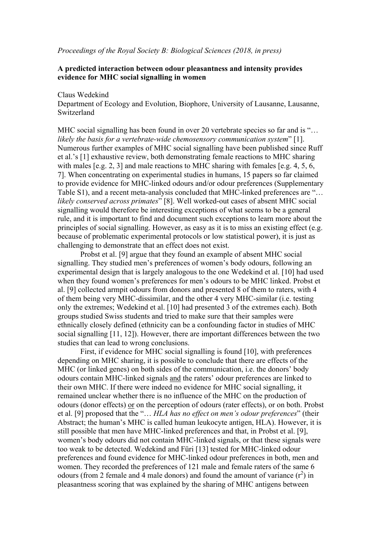#### *Proceedings of the Royal Society B: Biological Sciences (2018, in press)*

## **A predicted interaction between odour pleasantness and intensity provides evidence for MHC social signalling in women**

### Claus Wedekind

Department of Ecology and Evolution, Biophore, University of Lausanne, Lausanne, Switzerland

MHC social signalling has been found in over 20 vertebrate species so far and is "... *likely the basis for a vertebrate-wide chemosensory communication system*" [1]. Numerous further examples of MHC social signalling have been published since Ruff et al.'s [1] exhaustive review, both demonstrating female reactions to MHC sharing with males [e.g. 2, 3] and male reactions to MHC sharing with females [e.g. 4, 5, 6, 7]. When concentrating on experimental studies in humans, 15 papers so far claimed to provide evidence for MHC-linked odours and/or odour preferences (Supplementary Table S1), and a recent meta-analysis concluded that MHC-linked preferences are "… *likely conserved across primates*" [8]. Well worked-out cases of absent MHC social signalling would therefore be interesting exceptions of what seems to be a general rule, and it is important to find and document such exceptions to learn more about the principles of social signalling. However, as easy as it is to miss an existing effect (e.g. because of problematic experimental protocols or low statistical power), it is just as challenging to demonstrate that an effect does not exist.

Probst et al. [9] argue that they found an example of absent MHC social signalling. They studied men's preferences of women's body odours, following an experimental design that is largely analogous to the one Wedekind et al. [10] had used when they found women's preferences for men's odours to be MHC linked. Probst et al. [9] collected armpit odours from donors and presented 8 of them to raters, with 4 of them being very MHC-dissimilar, and the other 4 very MHC-similar (i.e. testing only the extremes; Wedekind et al. [10] had presented 3 of the extremes each). Both groups studied Swiss students and tried to make sure that their samples were ethnically closely defined (ethnicity can be a confounding factor in studies of MHC social signalling [11, 12]). However, there are important differences between the two studies that can lead to wrong conclusions.

First, if evidence for MHC social signalling is found [10], with preferences depending on MHC sharing, it is possible to conclude that there are effects of the MHC (or linked genes) on both sides of the communication, i.e. the donors' body odours contain MHC-linked signals and the raters' odour preferences are linked to their own MHC. If there were indeed no evidence for MHC social signalling, it remained unclear whether there is no influence of the MHC on the production of odours (donor effects) or on the perception of odours (rater effects), or on both. Probst et al. [9] proposed that the "… *HLA has no effect on men's odour preferences*" (their Abstract; the human's MHC is called human leukocyte antigen, HLA). However, it is still possible that men have MHC-linked preferences and that, in Probst et al. [9], women's body odours did not contain MHC-linked signals, or that these signals were too weak to be detected. Wedekind and Füri [13] tested for MHC-linked odour preferences and found evidence for MHC-linked odour preferences in both, men and women. They recorded the preferences of 121 male and female raters of the same 6 odours (from 2 female and 4 male donors) and found the amount of variance  $(r^2)$  in pleasantness scoring that was explained by the sharing of MHC antigens between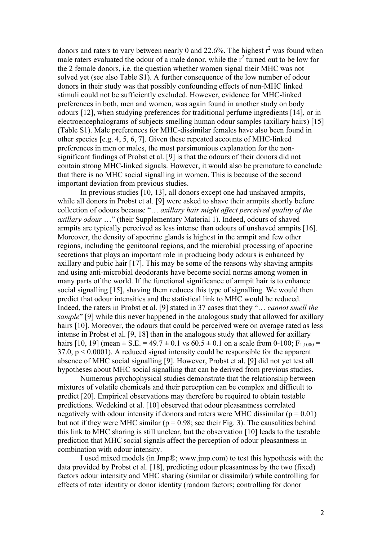donors and raters to vary between nearly 0 and 22.6%. The highest  $r^2$  was found when male raters evaluated the odour of a male donor, while the  $r^2$  turned out to be low for the 2 female donors, i.e. the question whether women signal their MHC was not solved yet (see also Table S1). A further consequence of the low number of odour donors in their study was that possibly confounding effects of non-MHC linked stimuli could not be sufficiently excluded. However, evidence for MHC-linked preferences in both, men and women, was again found in another study on body odours [12], when studying preferences for traditional perfume ingredients [14], or in electroencephalograms of subjects smelling human odour samples (axillary hairs) [15] (Table S1). Male preferences for MHC-dissimilar females have also been found in other species [e.g. 4, 5, 6, 7]. Given these repeated accounts of MHC-linked preferences in men or males, the most parsimonious explanation for the nonsignificant findings of Probst et al. [9] is that the odours of their donors did not contain strong MHC-linked signals. However, it would also be premature to conclude that there is no MHC social signalling in women. This is because of the second important deviation from previous studies.

In previous studies [10, 13], all donors except one had unshaved armpits, while all donors in Probst et al. [9] were asked to shave their armpits shortly before collection of odours because "… *axillary hair might affect perceived quality of the axillary odour …*" (their Supplementary Material 1). Indeed, odours of shaved armpits are typically perceived as less intense than odours of unshaved armpits [16]. Moreover, the density of apocrine glands is highest in the armpit and few other regions, including the genitoanal regions, and the microbial processing of apocrine secretions that plays an important role in producing body odours is enhanced by axillary and pubic hair [17]. This may be some of the reasons why shaving armpits and using anti-microbial deodorants have become social norms among women in many parts of the world. If the functional significance of armpit hair is to enhance social signalling [15], shaving them reduces this type of signalling. We would then predict that odour intensities and the statistical link to MHC would be reduced. Indeed, the raters in Probst et al. [9] stated in 37 cases that they "… *cannot smell the sample*" [9] while this never happened in the analogous study that allowed for axillary hairs [10]. Moreover, the odours that could be perceived were on average rated as less intense in Probst et al. [9, 18] than in the analogous study that allowed for axillary hairs [10, 19] (mean  $\pm$  S.E. = 49.7  $\pm$  0.1 vs 60.5  $\pm$  0.1 on a scale from 0-100; F<sub>1,1000</sub> =  $37.0, p \le 0.0001$ ). A reduced signal intensity could be responsible for the apparent absence of MHC social signalling [9]. However, Probst et al. [9] did not yet test all hypotheses about MHC social signalling that can be derived from previous studies.

Numerous psychophysical studies demonstrate that the relationship between mixtures of volatile chemicals and their perception can be complex and difficult to predict [20]. Empirical observations may therefore be required to obtain testable predictions. Wedekind et al. [10] observed that odour pleasantness correlated negatively with odour intensity if donors and raters were MHC dissimilar ( $p = 0.01$ ) but not if they were MHC similar ( $p = 0.98$ ; see their Fig. 3). The causalities behind this link to MHC sharing is still unclear, but the observation [10] leads to the testable prediction that MHC social signals affect the perception of odour pleasantness in combination with odour intensity.

I used mixed models (in Jmp®; www.jmp.com) to test this hypothesis with the data provided by Probst et al. [18], predicting odour pleasantness by the two (fixed) factors odour intensity and MHC sharing (similar or dissimilar) while controlling for effects of rater identity or donor identity (random factors; controlling for donor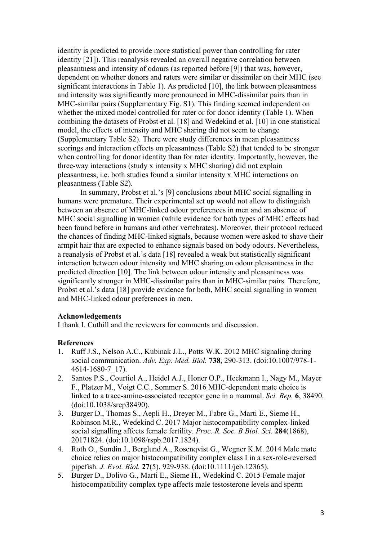identity is predicted to provide more statistical power than controlling for rater identity [21]). This reanalysis revealed an overall negative correlation between pleasantness and intensity of odours (as reported before [9]) that was, however, dependent on whether donors and raters were similar or dissimilar on their MHC (see significant interactions in Table 1). As predicted [10], the link between pleasantness and intensity was significantly more pronounced in MHC-dissimilar pairs than in MHC-similar pairs (Supplementary Fig. S1). This finding seemed independent on whether the mixed model controlled for rater or for donor identity (Table 1). When combining the datasets of Probst et al. [18] and Wedekind et al. [10] in one statistical model, the effects of intensity and MHC sharing did not seem to change (Supplementary Table S2). There were study differences in mean pleasantness scorings and interaction effects on pleasantness (Table S2) that tended to be stronger when controlling for donor identity than for rater identity. Importantly, however, the three-way interactions (study x intensity x MHC sharing) did not explain pleasantness, i.e. both studies found a similar intensity x MHC interactions on pleasantness (Table S2).

In summary, Probst et al.'s [9] conclusions about MHC social signalling in humans were premature. Their experimental set up would not allow to distinguish between an absence of MHC-linked odour preferences in men and an absence of MHC social signalling in women (while evidence for both types of MHC effects had been found before in humans and other vertebrates). Moreover, their protocol reduced the chances of finding MHC-linked signals, because women were asked to shave their armpit hair that are expected to enhance signals based on body odours. Nevertheless, a reanalysis of Probst et al.'s data [18] revealed a weak but statistically significant interaction between odour intensity and MHC sharing on odour pleasantness in the predicted direction [10]. The link between odour intensity and pleasantness was significantly stronger in MHC-dissimilar pairs than in MHC-similar pairs. Therefore, Probst et al.'s data [18] provide evidence for both, MHC social signalling in women and MHC-linked odour preferences in men.

### **Acknowledgements**

I thank I. Cuthill and the reviewers for comments and discussion.

#### **References**

- 1. Ruff J.S., Nelson A.C., Kubinak J.L., Potts W.K. 2012 MHC signaling during social communication. *Adv. Exp. Med. Biol.* **738**, 290-313. (doi:10.1007/978-1- 4614-1680-7\_17).
- 2. Santos P.S., Courtiol A., Heidel A.J., Honer O.P., Heckmann I., Nagy M., Mayer F., Platzer M., Voigt C.C., Sommer S. 2016 MHC-dependent mate choice is linked to a trace-amine-associated receptor gene in a mammal. *Sci. Rep.* **6**, 38490. (doi:10.1038/srep38490).
- 3. Burger D., Thomas S., Aepli H., Dreyer M., Fabre G., Marti E., Sieme H., Robinson M.R., Wedekind C. 2017 Major histocompatibility complex-linked social signalling affects female fertility. *Proc. R. Soc. B Biol. Sci.* **284**(1868), 20171824. (doi:10.1098/rspb.2017.1824).
- 4. Roth O., Sundin J., Berglund A., Rosenqvist G., Wegner K.M. 2014 Male mate choice relies on major histocompatibility complex class I in a sex-role-reversed pipefish. *J. Evol. Biol.* **27**(5), 929-938. (doi:10.1111/jeb.12365).
- 5. Burger D., Dolivo G., Marti E., Sieme H., Wedekind C. 2015 Female major histocompatibility complex type affects male testosterone levels and sperm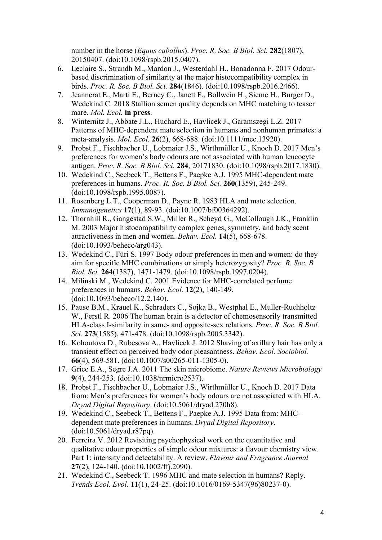number in the horse (*Equus caballus*). *Proc. R. Soc. B Biol. Sci.* **282**(1807), 20150407. (doi:10.1098/rspb.2015.0407).

- 6. Leclaire S., Strandh M., Mardon J., Westerdahl H., Bonadonna F. 2017 Odourbased discrimination of similarity at the major histocompatibility complex in birds. *Proc. R. Soc. B Biol. Sci.* **284**(1846). (doi:10.1098/rspb.2016.2466).
- 7. Jeannerat E., Marti E., Berney C., Janett F., Bollwein H., Sieme H., Burger D., Wedekind C. 2018 Stallion semen quality depends on MHC matching to teaser mare. *Mol. Ecol.* **in press**.
- 8. Winternitz J., Abbate J.L., Huchard E., Havlicek J., Garamszegi L.Z. 2017 Patterns of MHC-dependent mate selection in humans and nonhuman primates: a meta-analysis. *Mol. Ecol.* **26**(2), 668-688. (doi:10.1111/mec.13920).
- 9. Probst F., Fischbacher U., Lobmaier J.S., Wirthmüller U., Knoch D. 2017 Men's preferences for women's body odours are not associated with human leucocyte antigen. *Proc. R. Soc. B Biol. Sci.* **284**, 20171830. (doi:10.1098/rspb.2017.1830).
- 10. Wedekind C., Seebeck T., Bettens F., Paepke A.J. 1995 MHC-dependent mate preferences in humans. *Proc. R. Soc. B Biol. Sci.* **260**(1359), 245-249. (doi:10.1098/rspb.1995.0087).
- 11. Rosenberg L.T., Cooperman D., Payne R. 1983 HLA and mate selection. *Immunogenetics* **17**(1), 89-93. (doi:10.1007/bf00364292).
- 12. Thornhill R., Gangestad S.W., Miller R., Scheyd G., McCollough J.K., Franklin M. 2003 Major histocompatibility complex genes, symmetry, and body scent attractiveness in men and women. *Behav. Ecol.* **14**(5), 668-678. (doi:10.1093/beheco/arg043).
- 13. Wedekind C., Füri S. 1997 Body odour preferences in men and women: do they aim for specific MHC combinations or simply heterozygosity? *Proc. R. Soc. B Biol. Sci.* **264**(1387), 1471-1479. (doi:10.1098/rspb.1997.0204).
- 14. Milinski M., Wedekind C. 2001 Evidence for MHC-correlated perfume preferences in humans. *Behav. Ecol.* **12**(2), 140-149. (doi:10.1093/beheco/12.2.140).
- 15. Pause B.M., Krauel K., Schraders C., Sojka B., Westphal E., Muller-Ruchholtz W., Ferstl R. 2006 The human brain is a detector of chemosensorily transmitted HLA-class I-similarity in same- and opposite-sex relations. *Proc. R. Soc. B Biol. Sci.* **273**(1585), 471-478. (doi:10.1098/rspb.2005.3342).
- 16. Kohoutova D., Rubesova A., Havlicek J. 2012 Shaving of axillary hair has only a transient effect on perceived body odor pleasantness. *Behav. Ecol. Sociobiol.* **66**(4), 569-581. (doi:10.1007/s00265-011-1305-0).
- 17. Grice E.A., Segre J.A. 2011 The skin microbiome. *Nature Reviews Microbiology* **9**(4), 244-253. (doi:10.1038/nrmicro2537).
- 18. Probst F., Fischbacher U., Lobmaier J.S., Wirthmüller U., Knoch D. 2017 Data from: Men's preferences for women's body odours are not associated with HLA. *Dryad Digital Repository*. (doi:10.5061/dryad.270h8).
- 19. Wedekind C., Seebeck T., Bettens F., Paepke A.J. 1995 Data from: MHCdependent mate preferences in humans. *Dryad Digital Repository*. (doi:10.5061/dryad.r87pq).
- 20. Ferreira V. 2012 Revisiting psychophysical work on the quantitative and qualitative odour properties of simple odour mixtures: a flavour chemistry view. Part 1: intensity and detectability. A review. *Flavour and Fragrance Journal* **27**(2), 124-140. (doi:10.1002/ffj.2090).
- 21. Wedekind C., Seebeck T. 1996 MHC and mate selection in humans? Reply. *Trends Ecol. Evol.* **11**(1), 24-25. (doi:10.1016/0169-5347(96)80237-0).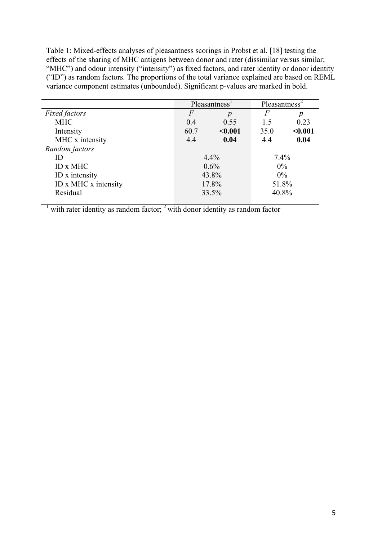Table 1: Mixed-effects analyses of pleasantness scorings in Probst et al. [18] testing the effects of the sharing of MHC antigens between donor and rater (dissimilar versus similar; "MHC") and odour intensity ("intensity") as fixed factors, and rater identity or donor identity ("ID") as random factors. The proportions of the total variance explained are based on REML variance component estimates (unbounded). Significant p-values are marked in bold.

|                      | Pleasantness <sup>1</sup> |                  | Pleasantness <sup>2</sup> |         |
|----------------------|---------------------------|------------------|---------------------------|---------|
| <b>Fixed factors</b> | $\,F$                     | $\boldsymbol{p}$ | F                         | р       |
| <b>MHC</b>           | 0.4                       | 0.55             | 1.5                       | 0.23    |
| Intensity            | 60.7                      | < 0.001          | 35.0                      | $0.001$ |
| MHC x intensity      | 4.4                       | 0.04             | 4.4                       | 0.04    |
| Random factors       |                           |                  |                           |         |
| ID                   | $4.4\%$                   |                  | 7.4%                      |         |
| ID x MHC             | $0.6\%$                   |                  | $0\%$                     |         |
| ID x intensity       | 43.8%                     |                  | $0\%$                     |         |
| ID x MHC x intensity | 17.8%                     |                  | 51.8%                     |         |
| Residual             | 33.5%                     |                  | 40.8%                     |         |

 $1$  with rater identity as random factor;  $2$  with donor identity as random factor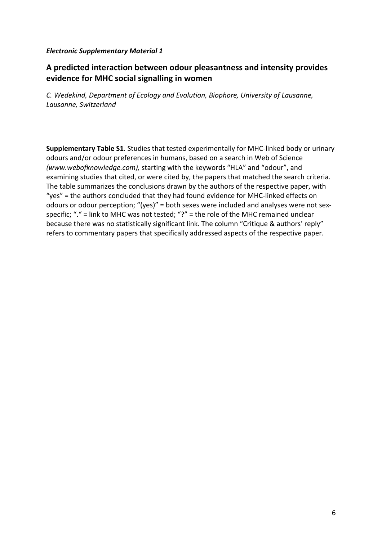## *Electronic Supplementary Material 1*

# A predicted interaction between odour pleasantness and intensity provides **evidence for MHC social signalling in women**

*C. Wedekind, Department of Ecology and Evolution, Biophore, University of Lausanne, Lausanne, Switzerland*

**Supplementary Table S1.** Studies that tested experimentally for MHC-linked body or urinary odours and/or odour preferences in humans, based on a search in Web of Science *(www.webofknowledge.com),* starting with the keywords "HLA" and "odour", and examining studies that cited, or were cited by, the papers that matched the search criteria. The table summarizes the conclusions drawn by the authors of the respective paper, with "yes" = the authors concluded that they had found evidence for MHC-linked effects on odours or odour perception; "(yes)" = both sexes were included and analyses were not sexspecific;  $"$ ." = link to MHC was not tested; "?" = the role of the MHC remained unclear because there was no statistically significant link. The column "Critique & authors' reply" refers to commentary papers that specifically addressed aspects of the respective paper.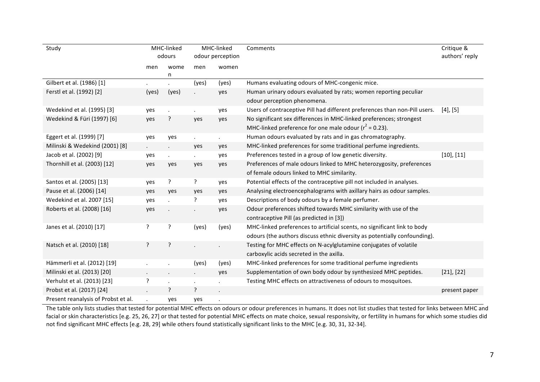| Study                               | MHC-linked<br>MHC-linked<br>odours<br>odour perception |                      |             | Comments | Critique &<br>authors' reply                                               |                 |
|-------------------------------------|--------------------------------------------------------|----------------------|-------------|----------|----------------------------------------------------------------------------|-----------------|
|                                     | men                                                    | wome                 | men         | women    |                                                                            |                 |
|                                     |                                                        | n                    |             |          |                                                                            |                 |
| Gilbert et al. (1986) [1]           |                                                        |                      | (yes)       | (yes)    | Humans evaluating odours of MHC-congenic mice.                             |                 |
| Ferstl et al. (1992) [2]            | (yes)                                                  | (yes)                |             | yes      | Human urinary odours evaluated by rats; women reporting peculiar           |                 |
|                                     |                                                        |                      |             |          | odour perception phenomena.                                                |                 |
| Wedekind et al. (1995) [3]          | yes                                                    | $\ddot{\phantom{0}}$ |             | yes      | Users of contraceptive Pill had different preferences than non-Pill users. | $[4]$ , $[5]$   |
| Wedekind & Füri (1997) [6]          | yes                                                    | ?                    | yes         | yes      | No significant sex differences in MHC-linked preferences; strongest        |                 |
|                                     |                                                        |                      |             |          | MHC-linked preference for one male odour ( $r^2$ = 0.23).                  |                 |
| Eggert et al. (1999) [7]            | yes                                                    | yes                  | $\sim$      | ¥.       | Human odours evaluated by rats and in gas chromatography.                  |                 |
| Milinski & Wedekind (2001) [8]      | $\ddot{\phantom{0}}$                                   |                      | yes         | yes      | MHC-linked preferences for some traditional perfume ingredients.           |                 |
| Jacob et al. (2002) [9]             | yes                                                    | ¥.                   | $\sim$      | yes      | Preferences tested in a group of low genetic diversity.                    | $[10]$ , $[11]$ |
| Thornhill et al. (2003) [12]        | yes                                                    | yes                  | yes         | yes      | Preferences of male odours linked to MHC heterozygosity, preferences       |                 |
|                                     |                                                        |                      |             |          | of female odours linked to MHC similarity.                                 |                 |
| Santos et al. (2005) [13]           | yes                                                    | ?                    | ?           | yes      | Potential effects of the contraceptive pill not included in analyses.      |                 |
| Pause et al. (2006) [14]            | yes                                                    | yes                  | yes         | yes      | Analysing electroencephalograms with axillary hairs as odour samples.      |                 |
| Wedekind et al. 2007 [15]           | yes                                                    |                      | ?           | yes      | Descriptions of body odours by a female perfumer.                          |                 |
| Roberts et al. (2008) [16]          | yes                                                    |                      |             | yes      | Odour preferences shifted towards MHC similarity with use of the           |                 |
|                                     |                                                        |                      |             |          | contraceptive Pill (as predicted in [3])                                   |                 |
| Janes et al. (2010) [17]            | ?                                                      | ?                    | (yes)       | (yes)    | MHC-linked preferences to artificial scents, no significant link to body   |                 |
|                                     |                                                        |                      |             |          | odours (the authors discuss ethnic diversity as potentially confounding).  |                 |
| Natsch et al. (2010) [18]           | ?                                                      | ?                    |             |          | Testing for MHC effects on N-acylglutamine conjugates of volatile          |                 |
|                                     |                                                        |                      |             |          | carboxylic acids secreted in the axilla.                                   |                 |
| Hämmerli et al. (2012) [19]         |                                                        |                      | (yes)       | (yes)    | MHC-linked preferences for some traditional perfume ingredients            |                 |
| Milinski et al. (2013) [20]         | $\bullet$                                              | $\cdot$              | $\bullet$ . | yes      | Supplementation of own body odour by synthesized MHC peptides.             | $[21]$ , $[22]$ |
| Verhulst et al. (2013) [23]         | S.                                                     |                      |             |          | Testing MHC effects on attractiveness of odours to mosquitoes.             |                 |
| Probst et al. (2017) [24]           |                                                        | ?                    | ?           |          |                                                                            | present paper   |
| Present reanalysis of Probst et al. |                                                        | yes                  | yes         |          |                                                                            |                 |

The table only lists studies that tested for potential MHC effects on odours or odour preferences in humans. It does not list studies that tested for links between MHC and facial or skin characteristics [e.g. 25, 26, 27] or that tested for potential MHC effects on mate choice, sexual responsivity, or fertility in humans for which some studies did not find significant MHC effects [e.g. 28, 29] while others found statistically significant links to the MHC [e.g. 30, 31, 32-34].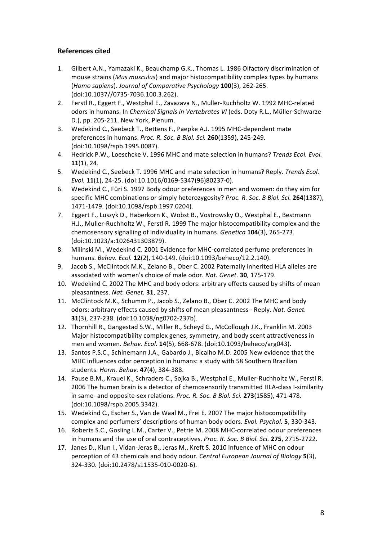## **References cited**

- 1. Gilbert A.N., Yamazaki K., Beauchamp G.K., Thomas L. 1986 Olfactory discrimination of mouse strains *(Mus musculus)* and major histocompatibility complex types by humans (*Homo sapiens*). *Journal of Comparative Psychology* **100**(3), 262-265. (doi:10.1037//0735-7036.100.3.262).
- 2. Ferstl R., Eggert F., Westphal E., Zavazava N., Muller-Ruchholtz W. 1992 MHC-related odors in humans. In *Chemical Signals in Vertebrates VI* (eds. Doty R.L., Müller-Schwarze D.), pp. 205-211. New York, Plenum.
- 3. Wedekind C., Seebeck T., Bettens F., Paepke A.J. 1995 MHC-dependent mate preferences in humans. *Proc. R. Soc. B Biol. Sci.* **260**(1359), 245-249. (doi:10.1098/rspb.1995.0087).
- 4. Hedrick P.W., Loeschcke V. 1996 MHC and mate selection in humans? *Trends Ecol. Evol.* **11**(1), 24.
- 5. Wedekind C., Seebeck T. 1996 MHC and mate selection in humans? Reply. *Trends Ecol. Evol.* **11**(1), 24-25. (doi:10.1016/0169-5347(96)80237-0).
- 6. Wedekind C., Füri S. 1997 Body odour preferences in men and women: do they aim for specific MHC combinations or simply heterozygosity? *Proc. R. Soc. B Biol. Sci.* 264(1387), 1471-1479. (doi:10.1098/rspb.1997.0204).
- 7. Eggert F., Luszyk D., Haberkorn K., Wobst B., Vostrowsky O., Westphal E., Bestmann H.J., Muller-Ruchholtz W., Ferstl R. 1999 The major histocompatibility complex and the chemosensory signalling of individuality in humans. *Genetica* 104(3), 265-273. (doi:10.1023/a:1026431303879).
- 8. Milinski M., Wedekind C. 2001 Evidence for MHC-correlated perfume preferences in humans. *Behav. Ecol.* **12**(2), 140-149. (doi:10.1093/beheco/12.2.140).
- 9. Jacob S., McClintock M.K., Zelano B., Ober C. 2002 Paternally inherited HLA alleles are associated with women's choice of male odor. Nat. Genet. **30**, 175-179.
- 10. Wedekind C. 2002 The MHC and body odors: arbitrary effects caused by shifts of mean pleasantness. *Nat. Genet.* **31**, 237.
- 11. McClintock M.K., Schumm P., Jacob S., Zelano B., Ober C. 2002 The MHC and body odors: arbitrary effects caused by shifts of mean pleasantness - Reply. Nat. Genet. **31**(3), 237-238. (doi:10.1038/ng0702-237b).
- 12. Thornhill R., Gangestad S.W., Miller R., Scheyd G., McCollough J.K., Franklin M. 2003 Major histocompatibility complex genes, symmetry, and body scent attractiveness in men and women. *Behav. Ecol.* **14**(5), 668-678. (doi:10.1093/beheco/arg043).
- 13. Santos P.S.C., Schinemann J.A., Gabardo J., Bicalho M.D. 2005 New evidence that the MHC influences odor perception in humans: a study with 58 Southern Brazilian students. *Horm. Behav.* **47**(4), 384-388.
- 14. Pause B.M., Krauel K., Schraders C., Sojka B., Westphal E., Muller-Ruchholtz W., Ferstl R. 2006 The human brain is a detector of chemosensorily transmitted HLA-class I-similarity in same- and opposite-sex relations. Proc. R. Soc. B Biol. Sci. 273(1585), 471-478. (doi:10.1098/rspb.2005.3342).
- 15. Wedekind C., Escher S., Van de Waal M., Frei E. 2007 The major histocompatibility complex and perfumers' descriptions of human body odors. *Evol. Psychol.* **5**, 330-343.
- 16. Roberts S.C., Gosling L.M., Carter V., Petrie M. 2008 MHC-correlated odour preferences in humans and the use of oral contraceptives. *Proc. R. Soc. B Biol. Sci.* 275, 2715-2722.
- 17. Janes D., Klun I., Vidan-Jeras B., Jeras M., Kreft S. 2010 Infuence of MHC on odour perception of 43 chemicals and body odour. *Central European Journal of Biology* **5**(3), 324-330. (doi:10.2478/s11535-010-0020-6).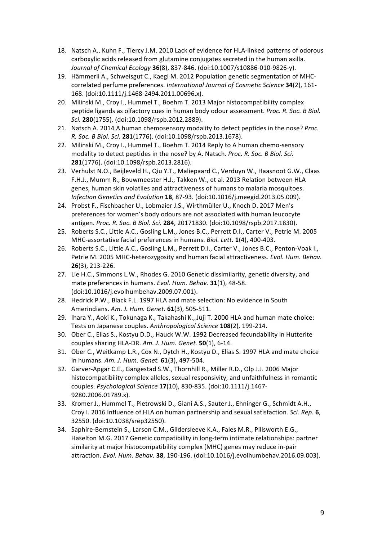- 18. Natsch A., Kuhn F., Tiercy J.M. 2010 Lack of evidence for HLA-linked patterns of odorous carboxylic acids released from glutamine conjugates secreted in the human axilla. *Journal of Chemical Ecology* **36**(8), 837-846. (doi:10.1007/s10886-010-9826-y).
- 19. Hämmerli A., Schweisgut C., Kaegi M. 2012 Population genetic segmentation of MHCcorrelated perfume preferences. International Journal of Cosmetic Science 34(2), 161-168. (doi:10.1111/j.1468-2494.2011.00696.x).
- 20. Milinski M., Croy I., Hummel T., Boehm T. 2013 Major histocompatibility complex peptide ligands as olfactory cues in human body odour assessment. *Proc. R. Soc. B Biol. Sci.* **280**(1755). (doi:10.1098/rspb.2012.2889).
- 21. Natsch A. 2014 A human chemosensory modality to detect peptides in the nose? *Proc. R. Soc. B Biol. Sci.* **281**(1776). (doi:10.1098/rspb.2013.1678).
- 22. Milinski M., Croy I., Hummel T., Boehm T. 2014 Reply to A human chemo-sensory modality to detect peptides in the nose? by A. Natsch. Proc. R. Soc. B Biol. Sci. **281**(1776). (doi:10.1098/rspb.2013.2816).
- 23. Verhulst N.O., Beijleveld H., Qiu Y.T., Maliepaard C., Verduyn W., Haasnoot G.W., Claas F.H.J., Mumm R., Bouwmeester H.J., Takken W., et al. 2013 Relation between HLA genes, human skin volatiles and attractiveness of humans to malaria mosquitoes. *Infection Genetics and Evolution* **18**, 87-93. (doi:10.1016/j.meegid.2013.05.009).
- 24. Probst F., Fischbacher U., Lobmaier J.S., Wirthmüller U., Knoch D. 2017 Men's preferences for women's body odours are not associated with human leucocyte antigen. *Proc. R. Soc. B Biol. Sci.* **284**, 20171830. (doi:10.1098/rspb.2017.1830).
- 25. Roberts S.C., Little A.C., Gosling L.M., Jones B.C., Perrett D.I., Carter V., Petrie M. 2005 MHC-assortative facial preferences in humans. *Biol. Lett.* **1**(4), 400-403.
- 26. Roberts S.C., Little A.C., Gosling L.M., Perrett D.I., Carter V., Jones B.C., Penton-Voak I., Petrie M. 2005 MHC-heterozygosity and human facial attractiveness. *Evol. Hum. Behav.* **26**(3), 213-226.
- 27. Lie H.C., Simmons L.W., Rhodes G. 2010 Genetic dissimilarity, genetic diversity, and mate preferences in humans. *Evol. Hum. Behav.* **31**(1), 48-58. (doi:10.1016/j.evolhumbehav.2009.07.001).
- 28. Hedrick P.W., Black F.L. 1997 HLA and mate selection: No evidence in South Amerindians. *Am. J. Hum. Genet.* **61**(3), 505-511.
- 29. Ihara Y., Aoki K., Tokunaga K., Takahashi K., Juji T. 2000 HLA and human mate choice: Tests on Japanese couples. Anthropological Science 108(2), 199-214.
- 30. Ober C., Elias S., Kostyu D.D., Hauck W.W. 1992 Decreased fecundability in Hutterite couples sharing HLA-DR. *Am. J. Hum. Genet.* **50**(1), 6-14.
- 31. Ober C., Weitkamp L.R., Cox N., Dytch H., Kostyu D., Elias S. 1997 HLA and mate choice in humans. Am. J. Hum. Genet. **61**(3), 497-504.
- 32. Garver-Apgar C.E., Gangestad S.W., Thornhill R., Miller R.D., Olp J.J. 2006 Major histocompatibility complex alleles, sexual responsivity, and unfaithfulness in romantic couples. *Psychological Science* **17**(10), 830-835. (doi:10.1111/j.1467- 9280.2006.01789.x).
- 33. Kromer J., Hummel T., Pietrowski D., Giani A.S., Sauter J., Ehninger G., Schmidt A.H., Croy I. 2016 Influence of HLA on human partnership and sexual satisfaction. *Sci. Rep.* 6, 32550. (doi:10.1038/srep32550).
- 34. Saphire-Bernstein S., Larson C.M., Gildersleeve K.A., Fales M.R., Pillsworth E.G., Haselton M.G. 2017 Genetic compatibility in long-term intimate relationships: partner similarity at major histocompatibility complex (MHC) genes may reduce in-pair attraction. *Evol. Hum. Behav.* **38**, 190-196. (doi:10.1016/j.evolhumbehav.2016.09.003).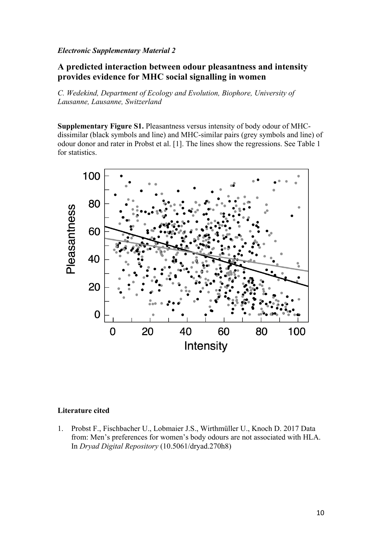## *Electronic Supplementary Material 2*

# **A predicted interaction between odour pleasantness and intensity provides evidence for MHC social signalling in women**

*C. Wedekind, Department of Ecology and Evolution, Biophore, University of Lausanne, Lausanne, Switzerland*

**Supplementary Figure S1.** Pleasantness versus intensity of body odour of MHCdissimilar (black symbols and line) and MHC-similar pairs (grey symbols and line) of odour donor and rater in Probst et al. [1]. The lines show the regressions. See Table 1 for statistics.



### **Literature cited**

1. Probst F., Fischbacher U., Lobmaier J.S., Wirthmüller U., Knoch D. 2017 Data from: Men's preferences for women's body odours are not associated with HLA. In *Dryad Digital Repository* (10.5061/dryad.270h8)